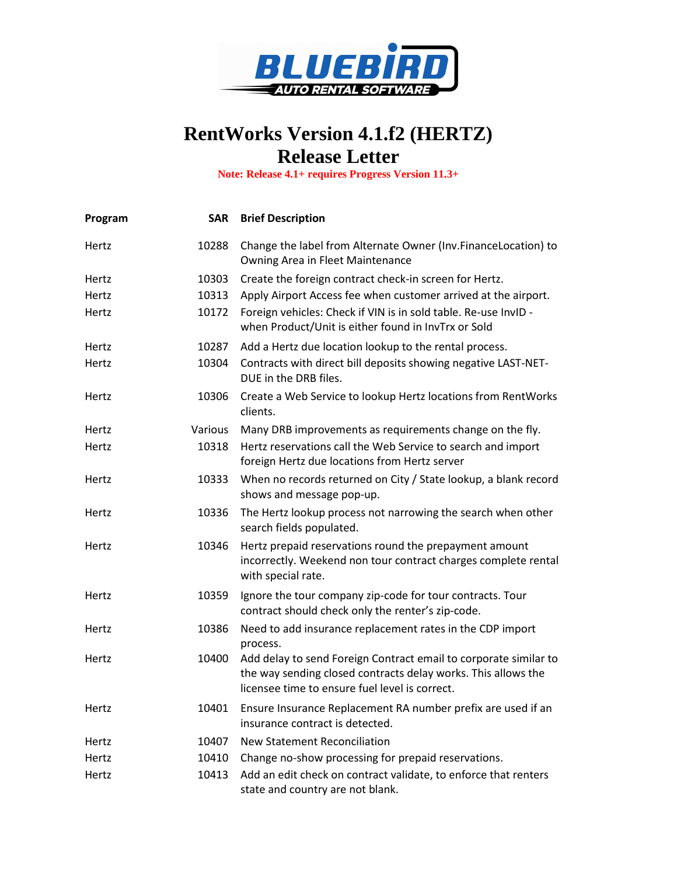

## **RentWorks Version 4.1.f2 (HERTZ) Release Letter**

**Note: Release 4.1+ requires Progress Version 11.3+**

| Program | <b>SAR</b> | <b>Brief Description</b>                                                                                                                                                            |
|---------|------------|-------------------------------------------------------------------------------------------------------------------------------------------------------------------------------------|
| Hertz   | 10288      | Change the label from Alternate Owner (Inv.FinanceLocation) to<br>Owning Area in Fleet Maintenance                                                                                  |
| Hertz   | 10303      | Create the foreign contract check-in screen for Hertz.                                                                                                                              |
| Hertz   | 10313      | Apply Airport Access fee when customer arrived at the airport.                                                                                                                      |
| Hertz   | 10172      | Foreign vehicles: Check if VIN is in sold table. Re-use InvID -<br>when Product/Unit is either found in InvTrx or Sold                                                              |
| Hertz   | 10287      | Add a Hertz due location lookup to the rental process.                                                                                                                              |
| Hertz   | 10304      | Contracts with direct bill deposits showing negative LAST-NET-<br>DUE in the DRB files.                                                                                             |
| Hertz   | 10306      | Create a Web Service to lookup Hertz locations from RentWorks<br>clients.                                                                                                           |
| Hertz   | Various    | Many DRB improvements as requirements change on the fly.                                                                                                                            |
| Hertz   | 10318      | Hertz reservations call the Web Service to search and import<br>foreign Hertz due locations from Hertz server                                                                       |
| Hertz   | 10333      | When no records returned on City / State lookup, a blank record<br>shows and message pop-up.                                                                                        |
| Hertz   | 10336      | The Hertz lookup process not narrowing the search when other<br>search fields populated.                                                                                            |
| Hertz   | 10346      | Hertz prepaid reservations round the prepayment amount<br>incorrectly. Weekend non tour contract charges complete rental<br>with special rate.                                      |
| Hertz   | 10359      | Ignore the tour company zip-code for tour contracts. Tour<br>contract should check only the renter's zip-code.                                                                      |
| Hertz   | 10386      | Need to add insurance replacement rates in the CDP import<br>process.                                                                                                               |
| Hertz   | 10400      | Add delay to send Foreign Contract email to corporate similar to<br>the way sending closed contracts delay works. This allows the<br>licensee time to ensure fuel level is correct. |
| Hertz   | 10401      | Ensure Insurance Replacement RA number prefix are used if an<br>insurance contract is detected.                                                                                     |
| Hertz   | 10407      | <b>New Statement Reconciliation</b>                                                                                                                                                 |
| Hertz   | 10410      | Change no-show processing for prepaid reservations.                                                                                                                                 |
| Hertz   | 10413      | Add an edit check on contract validate, to enforce that renters<br>state and country are not blank.                                                                                 |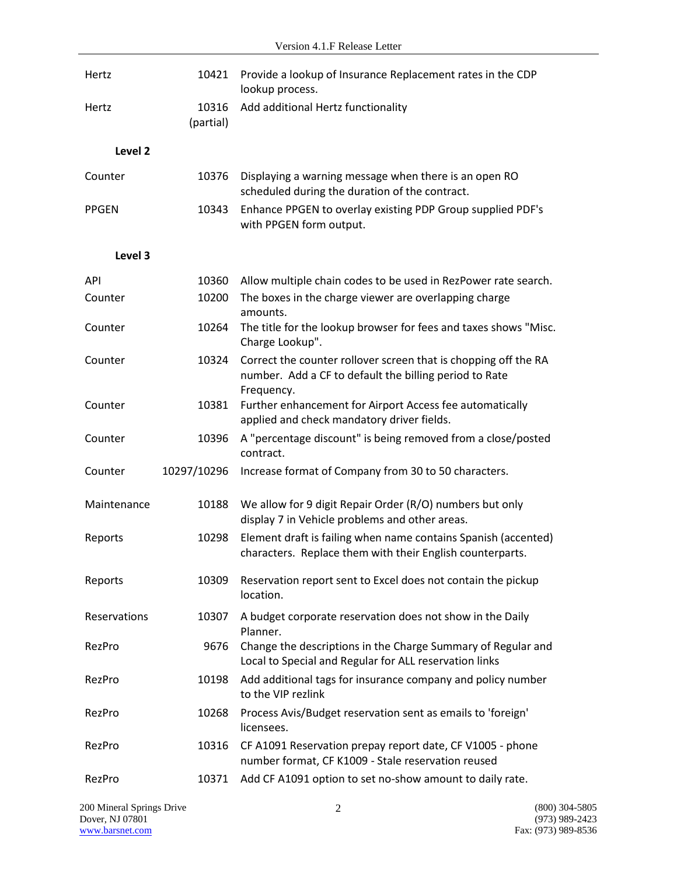| Hertz              | 10421              | Provide a lookup of Insurance Replacement rates in the CDP<br>lookup process.                                                           |
|--------------------|--------------------|-----------------------------------------------------------------------------------------------------------------------------------------|
| Hertz              | 10316<br>(partial) | Add additional Hertz functionality                                                                                                      |
| Level <sub>2</sub> |                    |                                                                                                                                         |
| Counter            | 10376              | Displaying a warning message when there is an open RO<br>scheduled during the duration of the contract.                                 |
| <b>PPGEN</b>       | 10343              | Enhance PPGEN to overlay existing PDP Group supplied PDF's<br>with PPGEN form output.                                                   |
| Level 3            |                    |                                                                                                                                         |
|                    |                    |                                                                                                                                         |
| API<br>Counter     | 10360<br>10200     | Allow multiple chain codes to be used in RezPower rate search.<br>The boxes in the charge viewer are overlapping charge<br>amounts.     |
| Counter            | 10264              | The title for the lookup browser for fees and taxes shows "Misc.<br>Charge Lookup".                                                     |
| Counter            | 10324              | Correct the counter rollover screen that is chopping off the RA<br>number. Add a CF to default the billing period to Rate<br>Frequency. |
| Counter            | 10381              | Further enhancement for Airport Access fee automatically<br>applied and check mandatory driver fields.                                  |
| Counter            | 10396              | A "percentage discount" is being removed from a close/posted<br>contract.                                                               |
| Counter            | 10297/10296        | Increase format of Company from 30 to 50 characters.                                                                                    |
| Maintenance        | 10188              | We allow for 9 digit Repair Order (R/O) numbers but only<br>display 7 in Vehicle problems and other areas.                              |
| Reports            | 10298              | Element draft is failing when name contains Spanish (accented)<br>characters. Replace them with their English counterparts.             |
| Reports            | 10309              | Reservation report sent to Excel does not contain the pickup<br>location.                                                               |
| Reservations       | 10307              | A budget corporate reservation does not show in the Daily<br>Planner.                                                                   |
| RezPro             | 9676               | Change the descriptions in the Charge Summary of Regular and<br>Local to Special and Regular for ALL reservation links                  |
| RezPro             | 10198              | Add additional tags for insurance company and policy number<br>to the VIP rezlink                                                       |
| RezPro             | 10268              | Process Avis/Budget reservation sent as emails to 'foreign'<br>licensees.                                                               |
| RezPro             | 10316              | CF A1091 Reservation prepay report date, CF V1005 - phone<br>number format, CF K1009 - Stale reservation reused                         |
| RezPro             | 10371              | Add CF A1091 option to set no-show amount to daily rate.                                                                                |